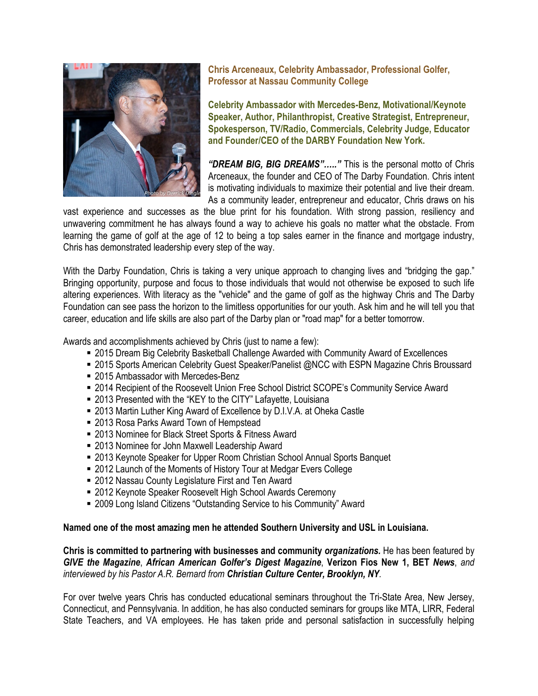

**Chris Arceneaux, Celebrity Ambassador, Professional Golfer, Professor at Nassau Community College**

**Celebrity Ambassador with Mercedes-Benz, Motivational/Keynote Speaker, Author, Philanthropist, Creative Strategist, Entrepreneur, Spokesperson, TV/Radio, Commercials, Celebrity Judge, Educator and Founder/CEO of the DARBY Foundation New York.** 

*"DREAM BIG, BIG DREAMS"….."* This is the personal motto of Chris Arceneaux, the founder and CEO of The Darby Foundation. Chris intent is motivating individuals to maximize their potential and live their dream. As a community leader, entrepreneur and educator, Chris draws on his

vast experience and successes as the blue print for his foundation. With strong passion, resiliency and unwavering commitment he has always found a way to achieve his goals no matter what the obstacle. From learning the game of golf at the age of 12 to being a top sales earner in the finance and mortgage industry, Chris has demonstrated leadership every step of the way.

With the Darby Foundation, Chris is taking a very unique approach to changing lives and "bridging the gap." Bringing opportunity, purpose and focus to those individuals that would not otherwise be exposed to such life altering experiences. With literacy as the "vehicle" and the game of golf as the highway Chris and The Darby Foundation can see pass the horizon to the limitless opportunities for our youth. Ask him and he will tell you that career, education and life skills are also part of the Darby plan or "road map" for a better tomorrow.

Awards and accomplishments achieved by Chris (just to name a few):

- 2015 Dream Big Celebrity Basketball Challenge Awarded with Community Award of Excellences
- 2015 Sports American Celebrity Guest Speaker/Panelist @NCC with ESPN Magazine Chris Broussard
- 2015 Ambassador with Mercedes-Benz
- 2014 Recipient of the Roosevelt Union Free School District SCOPE's Community Service Award
- 2013 Presented with the "KEY to the CITY" Lafayette, Louisiana
- 2013 Martin Luther King Award of Excellence by D.I.V.A. at Oheka Castle
- 2013 Rosa Parks Award Town of Hempstead
- 2013 Nominee for Black Street Sports & Fitness Award
- 2013 Nominee for John Maxwell Leadership Award
- 2013 Keynote Speaker for Upper Room Christian School Annual Sports Banquet
- 2012 Launch of the Moments of History Tour at Medgar Evers College
- 2012 Nassau County Legislature First and Ten Award
- 2012 Keynote Speaker Roosevelt High School Awards Ceremony
- 2009 Long Island Citizens "Outstanding Service to his Community" Award

## **Named one of the most amazing men he attended Southern University and USL in Louisiana.**

**Chris is committed to partnering with businesses and community** *organizations.* He has been featured by *GIVE the Magazine*, *African American Golfer's Digest Magazine*, **Verizon Fios New 1, BET** *News*, *and interviewed by his Pastor A.R. Bernard from Christian Culture Center, Brooklyn, NY.* 

For over twelve years Chris has conducted educational seminars throughout the Tri-State Area, New Jersey, Connecticut, and Pennsylvania. In addition, he has also conducted seminars for groups like MTA, LIRR, Federal State Teachers, and VA employees. He has taken pride and personal satisfaction in successfully helping